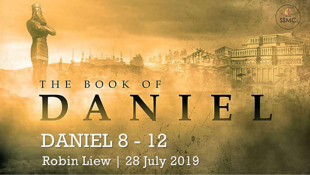# SSMC THE BOOK OF  $\sqrt{|\mathcal{L}_\mathcal{A}|}$ DANIEL 8 - 12 Robin Liew | 28 July 2019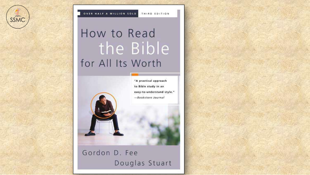



# How to Read the Bible<br>for All Its Worth



Gordon D. Fee Douglas Stuart

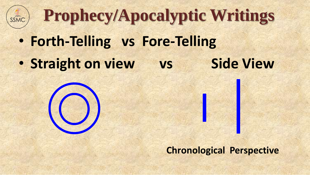

**Prophecy/Apocalyptic Writings**

- **Forth-Telling vs Fore-Telling**
- **Straight on view** vs **Side View**



**Chronological Perspective**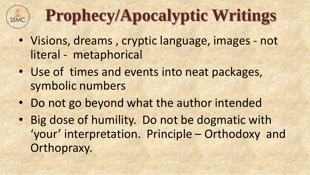# **Prophecy/Apocalyptic Writings**

- Visions, dreams , cryptic language, images not literal - metaphorical
- Use of times and events into neat packages, symbolic numbers
- Do not go beyond what the author intended
- Big dose of humility. Do not be dogmatic with 'your' interpretation. Principle – Orthodoxy and Orthopraxy.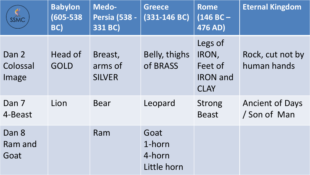| $\frac{4}{55}$             | <b>Babylon</b><br>$(605 - 538)$<br>BC) | Medo-<br><b>Persia (538 -</b><br>331 BC) | <b>Greece</b><br>$(331-146 BC)$         | <b>Rome</b><br>$(146 BC -$<br>476 AD)                         | <b>Eternal Kingdom</b>                 |
|----------------------------|----------------------------------------|------------------------------------------|-----------------------------------------|---------------------------------------------------------------|----------------------------------------|
| Dan 2<br>Colossal<br>Image | Head of<br><b>GOLD</b>                 | Breast,<br>arms of<br><b>SILVER</b>      | Belly, thighs<br>of BRASS               | Legs of<br>IRON,<br>Feet of<br><b>IRON</b> and<br><b>CLAY</b> | Rock, cut not by<br>human hands        |
| Dan 7<br>4-Beast           | Lion                                   | <b>Bear</b>                              | Leopard                                 | <b>Strong</b><br><b>Beast</b>                                 | <b>Ancient of Days</b><br>/ Son of Man |
| Dan 8<br>Ram and<br>Goat   |                                        | Ram                                      | Goat<br>1-horn<br>4-horn<br>Little horn |                                                               |                                        |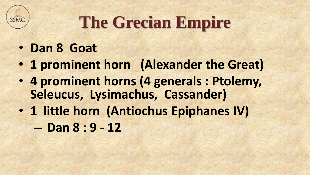

### **The Grecian Empire**

#### • **Dan 8 Goat**

- **1 prominent horn (Alexander the Great)**
- **4 prominent horns (4 generals : Ptolemy, Seleucus, Lysimachus, Cassander)**
- **1 little horn (Antiochus Epiphanes IV)**  – **Dan 8 : 9 - 12**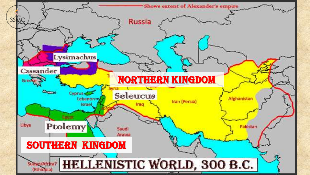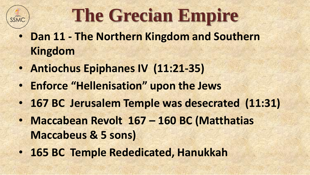# **The Grecian Empire**

- **Dan 11 - The Northern Kingdom and Southern Kingdom**
- **Antiochus Epiphanes IV (11:21-35)**
- **Enforce "Hellenisation" upon the Jews**
- **167 BC Jerusalem Temple was desecrated (11:31)**
- **Maccabean Revolt 167 – 160 BC (Matthatias Maccabeus & 5 sons)**
- **165 BC Temple Rededicated, Hanukkah**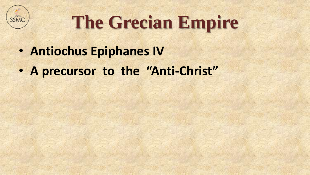

# **The Grecian Empire**

- **Antiochus Epiphanes IV**
- **A precursor to the "Anti-Christ"**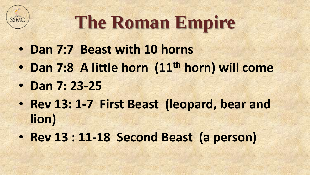

# **The Roman Empire**

- **Dan 7:7 Beast with 10 horns**
- **Dan 7:8 A little horn (11th horn) will come**
- **Dan 7: 23-25**
- **Rev 13: 1-7 First Beast (leopard, bear and lion)**
- **Rev 13 : 11-18 Second Beast (a person)**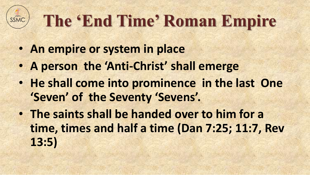# **The 'End Time' Roman Empire**

- **An empire or system in place**
- **A person the 'Anti-Christ' shall emerge**
- **He shall come into prominence in the last One 'Seven' of the Seventy 'Sevens'.**
- **The saints shall be handed over to him for a time, times and half a time (Dan 7:25; 11:7, Rev 13:5)**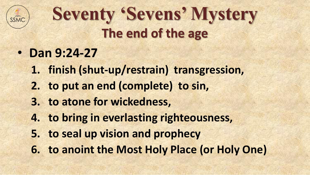

### **Seventy 'Sevens' Mystery The end of the age**

- **Dan 9:24-27** 
	- **1. finish (shut-up/restrain) transgression,**
	- **2. to put an end (complete) to sin,**
	- **3. to atone for wickedness,**
	- **4. to bring in everlasting righteousness,**
	- **5. to seal up vision and prophecy**
	- **6. to anoint the Most Holy Place (or Holy One)**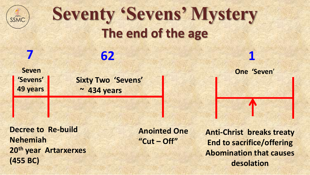

### **Seventy 'Sevens' Mystery The end of the age**

**Seven 'Sevens' 49 years**

**7 62 1**

**Sixty Two 'Sevens' ~ 434 years**

**Decree to Re-build Nehemiah 20th year Artarxerxes (455 BC)**

**Anointed One "Cut – Off"**

**Anti-Christ breaks treaty End to sacrifice/offering Abomination that causes desolation**

**One 'Seven**'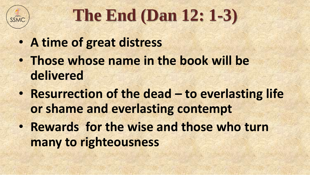

# **The End (Dan 12: 1-3)**

- **A time of great distress**
- **Those whose name in the book will be delivered**
- **Resurrection of the dead – to everlasting life or shame and everlasting contempt**
- **Rewards for the wise and those who turn many to righteousness**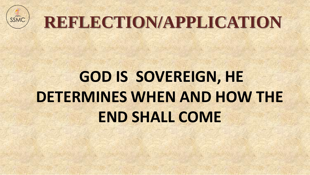

# **REFLECTION/APPLICATION**

# **GOD IS SOVEREIGN, HE DETERMINES WHEN AND HOW THE END SHALL COME**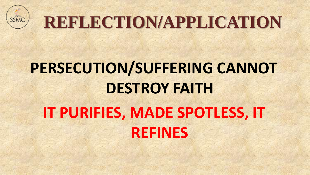

# **REFLECTION/APPLICATION**

# **PERSECUTION/SUFFERING CANNOT DESTROY FAITH IT PURIFIES, MADE SPOTLESS, IT REFINES**